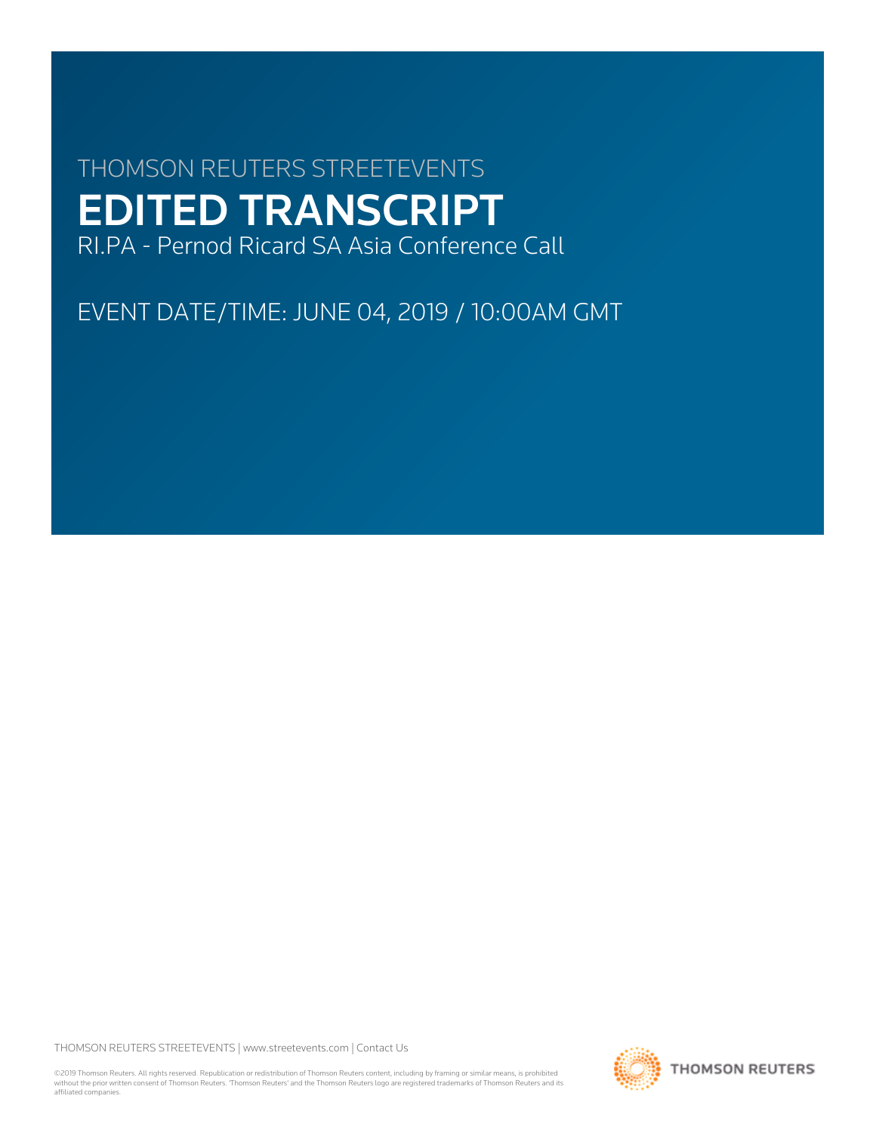# THOMSON REUTERS STREETEVENTS EDITED TRANSCRIPT RI.PA - Pernod Ricard SA Asia Conference Call

EVENT DATE/TIME: JUNE 04, 2019 / 10:00AM GMT

THOMSON REUTERS STREETEVENTS | [www.streetevents.com](http://www.streetevents.com) | [Contact Us](http://www010.streetevents.com/contact.asp)

©2019 Thomson Reuters. All rights reserved. Republication or redistribution of Thomson Reuters content, including by framing or similar means, is prohibited without the prior written consent of Thomson Reuters. 'Thomson Reuters' and the Thomson Reuters logo are registered trademarks of Thomson Reuters and its affiliated companies.

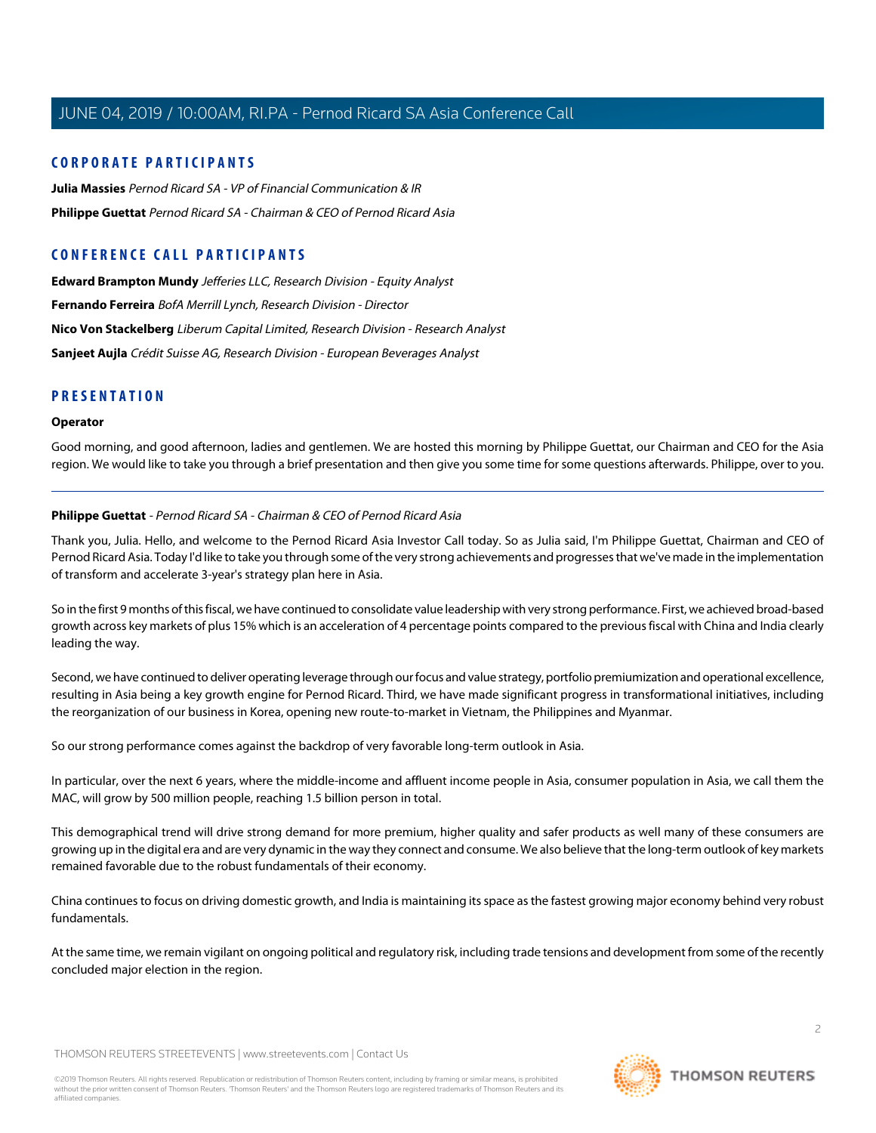## **CORPORATE PARTICIPANTS**

**[Julia Massies](#page-8-0)** Pernod Ricard SA - VP of Financial Communication & IR **[Philippe Guettat](#page-1-0)** Pernod Ricard SA - Chairman & CEO of Pernod Ricard Asia

## **CONFERENCE CALL PARTICIPANTS**

**[Edward Brampton Mundy](#page-7-0)** Jefferies LLC, Research Division - Equity Analyst **[Fernando Ferreira](#page-7-1)** BofA Merrill Lynch, Research Division - Director **[Nico Von Stackelberg](#page-8-1)** Liberum Capital Limited, Research Division - Research Analyst **[Sanjeet Aujla](#page-5-0)** Crédit Suisse AG, Research Division - European Beverages Analyst

## **PRESENTATION**

#### **Operator**

<span id="page-1-0"></span>Good morning, and good afternoon, ladies and gentlemen. We are hosted this morning by Philippe Guettat, our Chairman and CEO for the Asia region. We would like to take you through a brief presentation and then give you some time for some questions afterwards. Philippe, over to you.

## **Philippe Guettat** - Pernod Ricard SA - Chairman & CEO of Pernod Ricard Asia

Thank you, Julia. Hello, and welcome to the Pernod Ricard Asia Investor Call today. So as Julia said, I'm Philippe Guettat, Chairman and CEO of Pernod Ricard Asia. Today I'd like to take you through some of the very strong achievements and progresses that we've made in the implementation of transform and accelerate 3-year's strategy plan here in Asia.

So in the first 9 months of this fiscal, we have continued to consolidate value leadership with very strong performance. First, we achieved broad-based growth across key markets of plus 15% which is an acceleration of 4 percentage points compared to the previous fiscal with China and India clearly leading the way.

Second, we have continued to deliver operating leverage through our focus and value strategy, portfolio premiumization and operational excellence, resulting in Asia being a key growth engine for Pernod Ricard. Third, we have made significant progress in transformational initiatives, including the reorganization of our business in Korea, opening new route-to-market in Vietnam, the Philippines and Myanmar.

So our strong performance comes against the backdrop of very favorable long-term outlook in Asia.

In particular, over the next 6 years, where the middle-income and affluent income people in Asia, consumer population in Asia, we call them the MAC, will grow by 500 million people, reaching 1.5 billion person in total.

This demographical trend will drive strong demand for more premium, higher quality and safer products as well many of these consumers are growing up in the digital era and are very dynamic in the way they connect and consume. We also believe that the long-term outlook of key markets remained favorable due to the robust fundamentals of their economy.

China continues to focus on driving domestic growth, and India is maintaining its space as the fastest growing major economy behind very robust fundamentals.

At the same time, we remain vigilant on ongoing political and regulatory risk, including trade tensions and development from some of the recently concluded major election in the region.

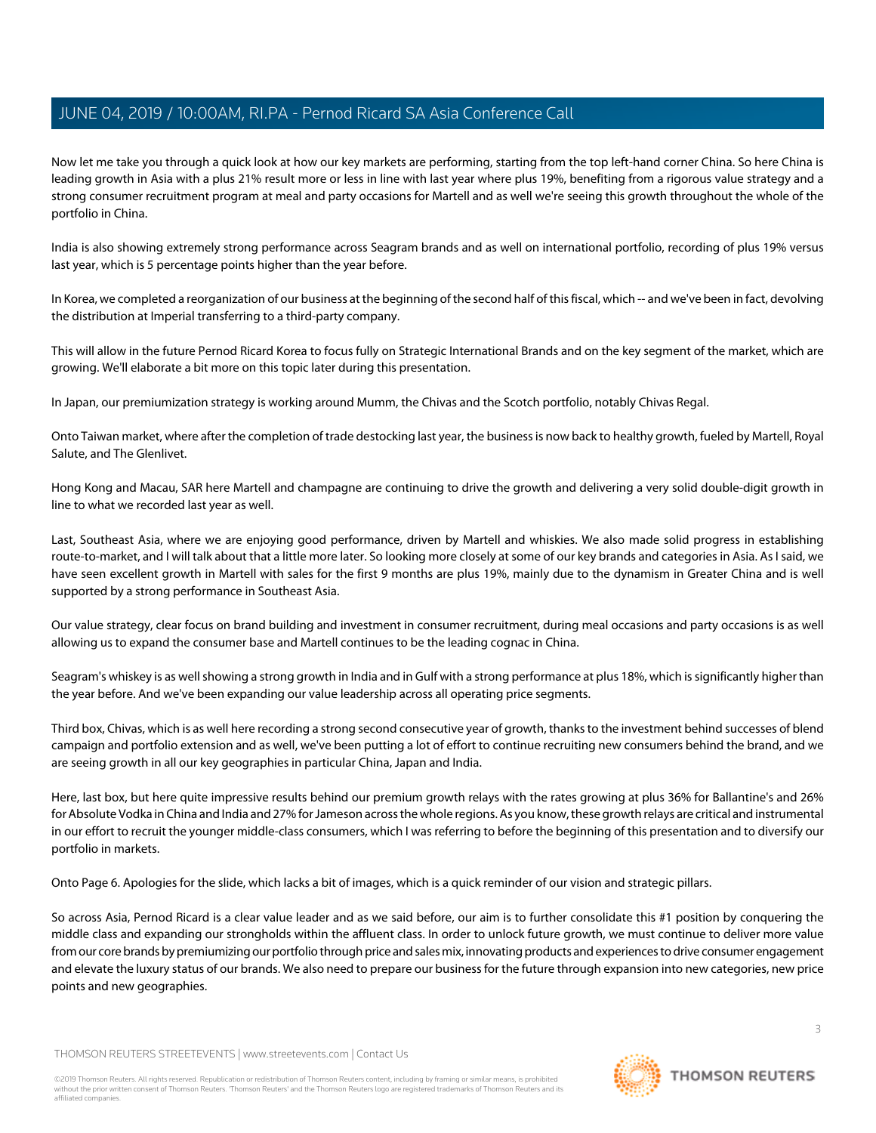Now let me take you through a quick look at how our key markets are performing, starting from the top left-hand corner China. So here China is leading growth in Asia with a plus 21% result more or less in line with last year where plus 19%, benefiting from a rigorous value strategy and a strong consumer recruitment program at meal and party occasions for Martell and as well we're seeing this growth throughout the whole of the portfolio in China.

India is also showing extremely strong performance across Seagram brands and as well on international portfolio, recording of plus 19% versus last year, which is 5 percentage points higher than the year before.

In Korea, we completed a reorganization of our business at the beginning of the second half of this fiscal, which -- and we've been in fact, devolving the distribution at Imperial transferring to a third-party company.

This will allow in the future Pernod Ricard Korea to focus fully on Strategic International Brands and on the key segment of the market, which are growing. We'll elaborate a bit more on this topic later during this presentation.

In Japan, our premiumization strategy is working around Mumm, the Chivas and the Scotch portfolio, notably Chivas Regal.

Onto Taiwan market, where after the completion of trade destocking last year, the business is now back to healthy growth, fueled by Martell, Royal Salute, and The Glenlivet.

Hong Kong and Macau, SAR here Martell and champagne are continuing to drive the growth and delivering a very solid double-digit growth in line to what we recorded last year as well.

Last, Southeast Asia, where we are enjoying good performance, driven by Martell and whiskies. We also made solid progress in establishing route-to-market, and I will talk about that a little more later. So looking more closely at some of our key brands and categories in Asia. As I said, we have seen excellent growth in Martell with sales for the first 9 months are plus 19%, mainly due to the dynamism in Greater China and is well supported by a strong performance in Southeast Asia.

Our value strategy, clear focus on brand building and investment in consumer recruitment, during meal occasions and party occasions is as well allowing us to expand the consumer base and Martell continues to be the leading cognac in China.

Seagram's whiskey is as well showing a strong growth in India and in Gulf with a strong performance at plus 18%, which is significantly higher than the year before. And we've been expanding our value leadership across all operating price segments.

Third box, Chivas, which is as well here recording a strong second consecutive year of growth, thanks to the investment behind successes of blend campaign and portfolio extension and as well, we've been putting a lot of effort to continue recruiting new consumers behind the brand, and we are seeing growth in all our key geographies in particular China, Japan and India.

Here, last box, but here quite impressive results behind our premium growth relays with the rates growing at plus 36% for Ballantine's and 26% for Absolute Vodka in China and India and 27% for Jameson across the whole regions. As you know, these growth relays are critical and instrumental in our effort to recruit the younger middle-class consumers, which I was referring to before the beginning of this presentation and to diversify our portfolio in markets.

Onto Page 6. Apologies for the slide, which lacks a bit of images, which is a quick reminder of our vision and strategic pillars.

So across Asia, Pernod Ricard is a clear value leader and as we said before, our aim is to further consolidate this #1 position by conquering the middle class and expanding our strongholds within the affluent class. In order to unlock future growth, we must continue to deliver more value from our core brands by premiumizing our portfolio through price and sales mix, innovating products and experiences to drive consumer engagement and elevate the luxury status of our brands. We also need to prepare our business for the future through expansion into new categories, new price points and new geographies.

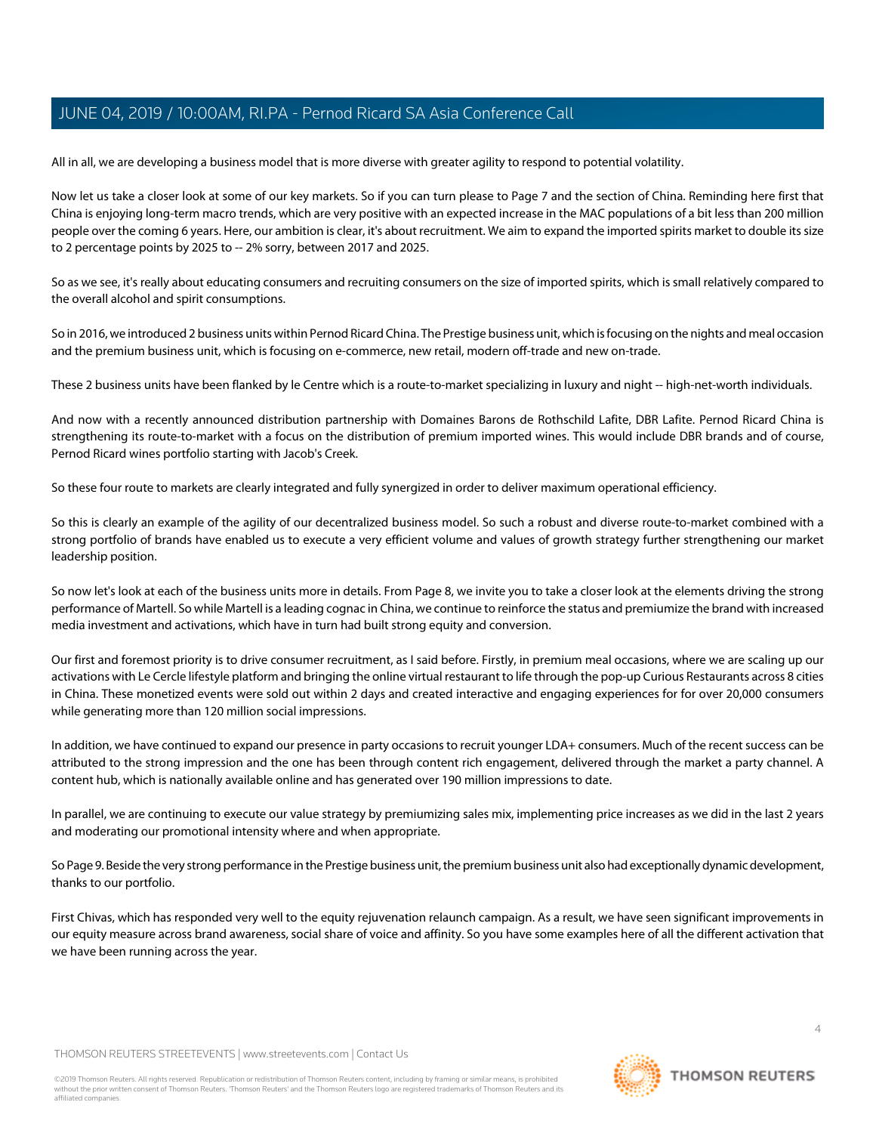All in all, we are developing a business model that is more diverse with greater agility to respond to potential volatility.

Now let us take a closer look at some of our key markets. So if you can turn please to Page 7 and the section of China. Reminding here first that China is enjoying long-term macro trends, which are very positive with an expected increase in the MAC populations of a bit less than 200 million people over the coming 6 years. Here, our ambition is clear, it's about recruitment. We aim to expand the imported spirits market to double its size to 2 percentage points by 2025 to -- 2% sorry, between 2017 and 2025.

So as we see, it's really about educating consumers and recruiting consumers on the size of imported spirits, which is small relatively compared to the overall alcohol and spirit consumptions.

So in 2016, we introduced 2 business units within Pernod Ricard China. The Prestige business unit, which is focusing on the nights and meal occasion and the premium business unit, which is focusing on e-commerce, new retail, modern off-trade and new on-trade.

These 2 business units have been flanked by le Centre which is a route-to-market specializing in luxury and night -- high-net-worth individuals.

And now with a recently announced distribution partnership with Domaines Barons de Rothschild Lafite, DBR Lafite. Pernod Ricard China is strengthening its route-to-market with a focus on the distribution of premium imported wines. This would include DBR brands and of course, Pernod Ricard wines portfolio starting with Jacob's Creek.

So these four route to markets are clearly integrated and fully synergized in order to deliver maximum operational efficiency.

So this is clearly an example of the agility of our decentralized business model. So such a robust and diverse route-to-market combined with a strong portfolio of brands have enabled us to execute a very efficient volume and values of growth strategy further strengthening our market leadership position.

So now let's look at each of the business units more in details. From Page 8, we invite you to take a closer look at the elements driving the strong performance of Martell. So while Martell is a leading cognac in China, we continue to reinforce the status and premiumize the brand with increased media investment and activations, which have in turn had built strong equity and conversion.

Our first and foremost priority is to drive consumer recruitment, as I said before. Firstly, in premium meal occasions, where we are scaling up our activations with Le Cercle lifestyle platform and bringing the online virtual restaurant to life through the pop-up Curious Restaurants across 8 cities in China. These monetized events were sold out within 2 days and created interactive and engaging experiences for for over 20,000 consumers while generating more than 120 million social impressions.

In addition, we have continued to expand our presence in party occasions to recruit younger LDA+ consumers. Much of the recent success can be attributed to the strong impression and the one has been through content rich engagement, delivered through the market a party channel. A content hub, which is nationally available online and has generated over 190 million impressions to date.

In parallel, we are continuing to execute our value strategy by premiumizing sales mix, implementing price increases as we did in the last 2 years and moderating our promotional intensity where and when appropriate.

So Page 9. Beside the very strong performance in the Prestige business unit, the premium business unit also had exceptionally dynamic development, thanks to our portfolio.

First Chivas, which has responded very well to the equity rejuvenation relaunch campaign. As a result, we have seen significant improvements in our equity measure across brand awareness, social share of voice and affinity. So you have some examples here of all the different activation that we have been running across the year.

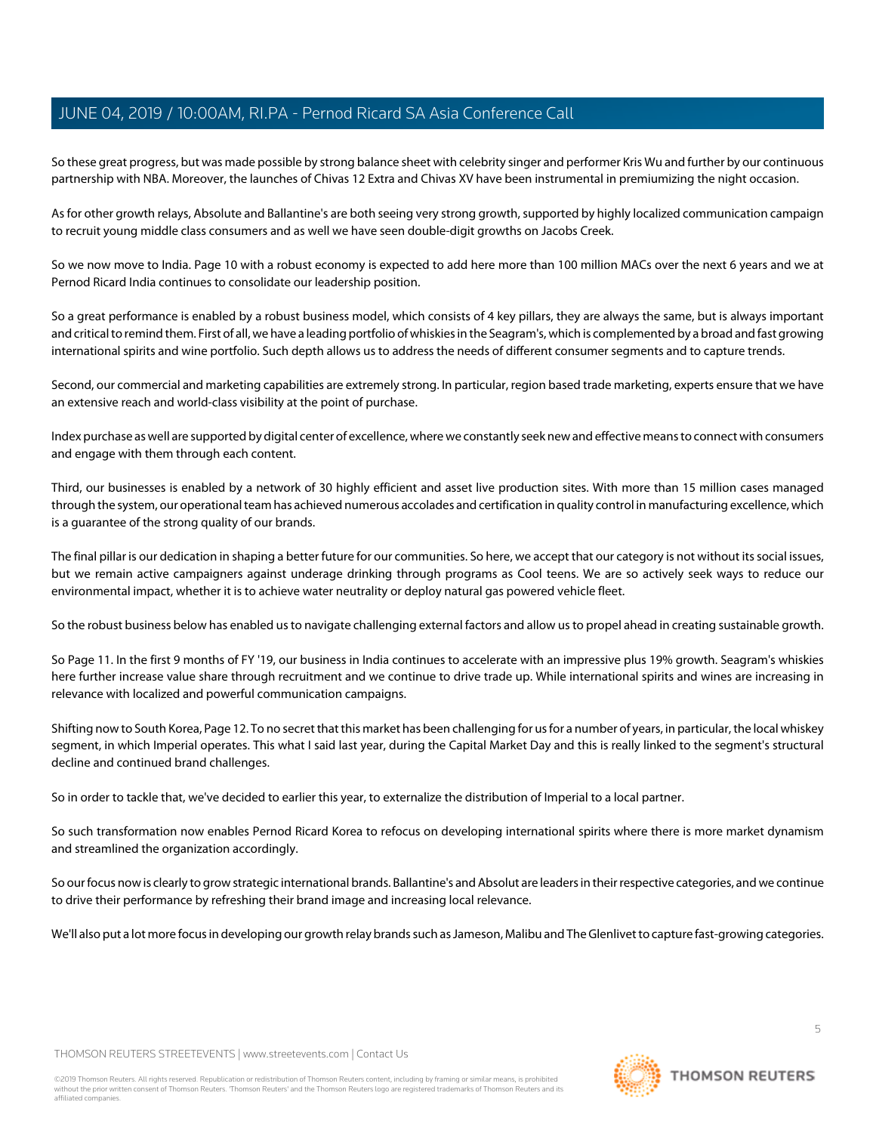So these great progress, but was made possible by strong balance sheet with celebrity singer and performer Kris Wu and further by our continuous partnership with NBA. Moreover, the launches of Chivas 12 Extra and Chivas XV have been instrumental in premiumizing the night occasion.

As for other growth relays, Absolute and Ballantine's are both seeing very strong growth, supported by highly localized communication campaign to recruit young middle class consumers and as well we have seen double-digit growths on Jacobs Creek.

So we now move to India. Page 10 with a robust economy is expected to add here more than 100 million MACs over the next 6 years and we at Pernod Ricard India continues to consolidate our leadership position.

So a great performance is enabled by a robust business model, which consists of 4 key pillars, they are always the same, but is always important and critical to remind them. First of all, we have a leading portfolio of whiskies in the Seagram's, which is complemented by a broad and fast growing international spirits and wine portfolio. Such depth allows us to address the needs of different consumer segments and to capture trends.

Second, our commercial and marketing capabilities are extremely strong. In particular, region based trade marketing, experts ensure that we have an extensive reach and world-class visibility at the point of purchase.

Index purchase as well are supported by digital center of excellence, where we constantly seek new and effective means to connect with consumers and engage with them through each content.

Third, our businesses is enabled by a network of 30 highly efficient and asset live production sites. With more than 15 million cases managed through the system, our operational team has achieved numerous accolades and certification in quality control in manufacturing excellence, which is a guarantee of the strong quality of our brands.

The final pillar is our dedication in shaping a better future for our communities. So here, we accept that our category is not without its social issues, but we remain active campaigners against underage drinking through programs as Cool teens. We are so actively seek ways to reduce our environmental impact, whether it is to achieve water neutrality or deploy natural gas powered vehicle fleet.

So the robust business below has enabled us to navigate challenging external factors and allow us to propel ahead in creating sustainable growth.

So Page 11. In the first 9 months of FY '19, our business in India continues to accelerate with an impressive plus 19% growth. Seagram's whiskies here further increase value share through recruitment and we continue to drive trade up. While international spirits and wines are increasing in relevance with localized and powerful communication campaigns.

Shifting now to South Korea, Page 12. To no secret that this market has been challenging for us for a number of years, in particular, the local whiskey segment, in which Imperial operates. This what I said last year, during the Capital Market Day and this is really linked to the segment's structural decline and continued brand challenges.

So in order to tackle that, we've decided to earlier this year, to externalize the distribution of Imperial to a local partner.

So such transformation now enables Pernod Ricard Korea to refocus on developing international spirits where there is more market dynamism and streamlined the organization accordingly.

So our focus now is clearly to grow strategic international brands. Ballantine's and Absolut are leaders in their respective categories, and we continue to drive their performance by refreshing their brand image and increasing local relevance.

We'll also put a lot more focus in developing our growth relay brands such as Jameson, Malibu and The Glenlivet to capture fast-growing categories.

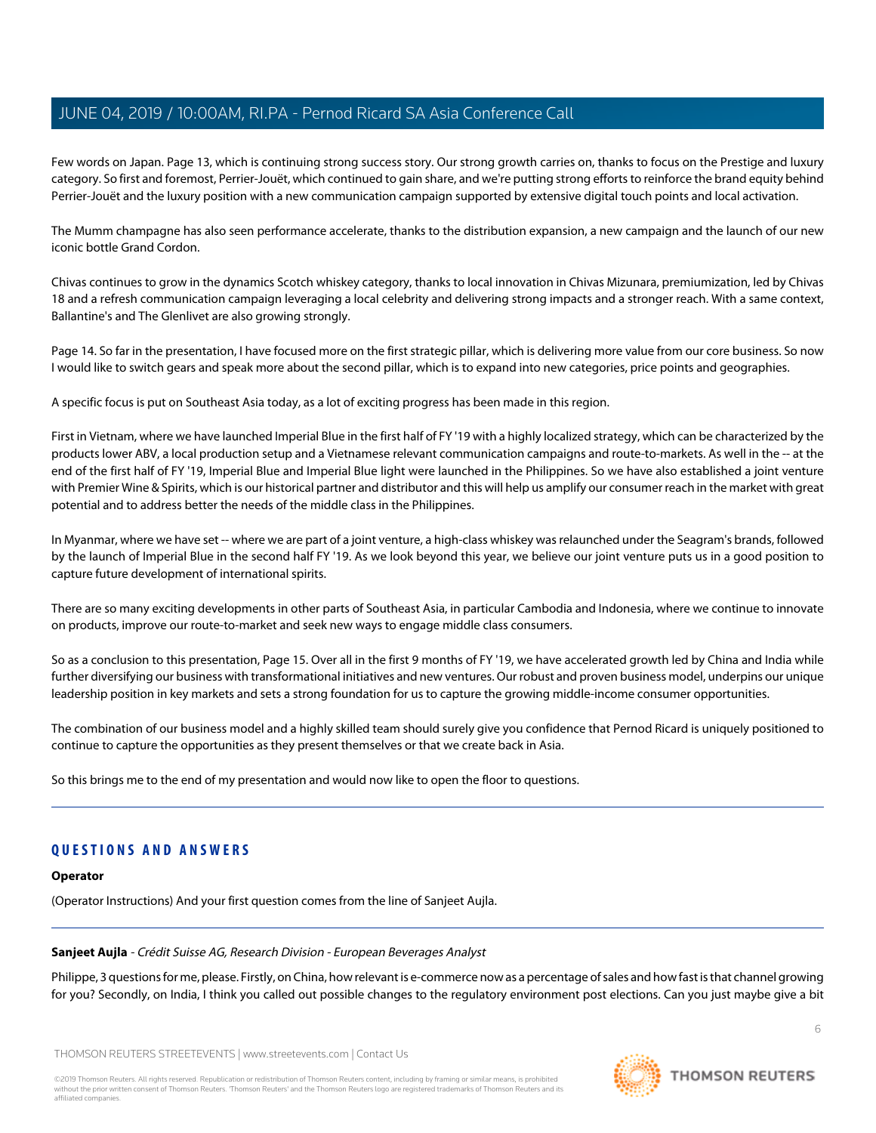Few words on Japan. Page 13, which is continuing strong success story. Our strong growth carries on, thanks to focus on the Prestige and luxury category. So first and foremost, Perrier-Jouët, which continued to gain share, and we're putting strong efforts to reinforce the brand equity behind Perrier-Jouët and the luxury position with a new communication campaign supported by extensive digital touch points and local activation.

The Mumm champagne has also seen performance accelerate, thanks to the distribution expansion, a new campaign and the launch of our new iconic bottle Grand Cordon.

Chivas continues to grow in the dynamics Scotch whiskey category, thanks to local innovation in Chivas Mizunara, premiumization, led by Chivas 18 and a refresh communication campaign leveraging a local celebrity and delivering strong impacts and a stronger reach. With a same context, Ballantine's and The Glenlivet are also growing strongly.

Page 14. So far in the presentation, I have focused more on the first strategic pillar, which is delivering more value from our core business. So now I would like to switch gears and speak more about the second pillar, which is to expand into new categories, price points and geographies.

A specific focus is put on Southeast Asia today, as a lot of exciting progress has been made in this region.

First in Vietnam, where we have launched Imperial Blue in the first half of FY '19 with a highly localized strategy, which can be characterized by the products lower ABV, a local production setup and a Vietnamese relevant communication campaigns and route-to-markets. As well in the -- at the end of the first half of FY '19, Imperial Blue and Imperial Blue light were launched in the Philippines. So we have also established a joint venture with Premier Wine & Spirits, which is our historical partner and distributor and this will help us amplify our consumer reach in the market with great potential and to address better the needs of the middle class in the Philippines.

In Myanmar, where we have set -- where we are part of a joint venture, a high-class whiskey was relaunched under the Seagram's brands, followed by the launch of Imperial Blue in the second half FY '19. As we look beyond this year, we believe our joint venture puts us in a good position to capture future development of international spirits.

There are so many exciting developments in other parts of Southeast Asia, in particular Cambodia and Indonesia, where we continue to innovate on products, improve our route-to-market and seek new ways to engage middle class consumers.

So as a conclusion to this presentation, Page 15. Over all in the first 9 months of FY '19, we have accelerated growth led by China and India while further diversifying our business with transformational initiatives and new ventures. Our robust and proven business model, underpins our unique leadership position in key markets and sets a strong foundation for us to capture the growing middle-income consumer opportunities.

The combination of our business model and a highly skilled team should surely give you confidence that Pernod Ricard is uniquely positioned to continue to capture the opportunities as they present themselves or that we create back in Asia.

So this brings me to the end of my presentation and would now like to open the floor to questions.

## <span id="page-5-0"></span>**QUESTIONS AND ANSWERS**

## **Operator**

(Operator Instructions) And your first question comes from the line of Sanjeet Aujla.

## **Sanjeet Aujla** - Crédit Suisse AG, Research Division - European Beverages Analyst

Philippe, 3 questions for me, please. Firstly, on China, how relevant is e-commerce now as a percentage of sales and how fast is that channel growing for you? Secondly, on India, I think you called out possible changes to the regulatory environment post elections. Can you just maybe give a bit

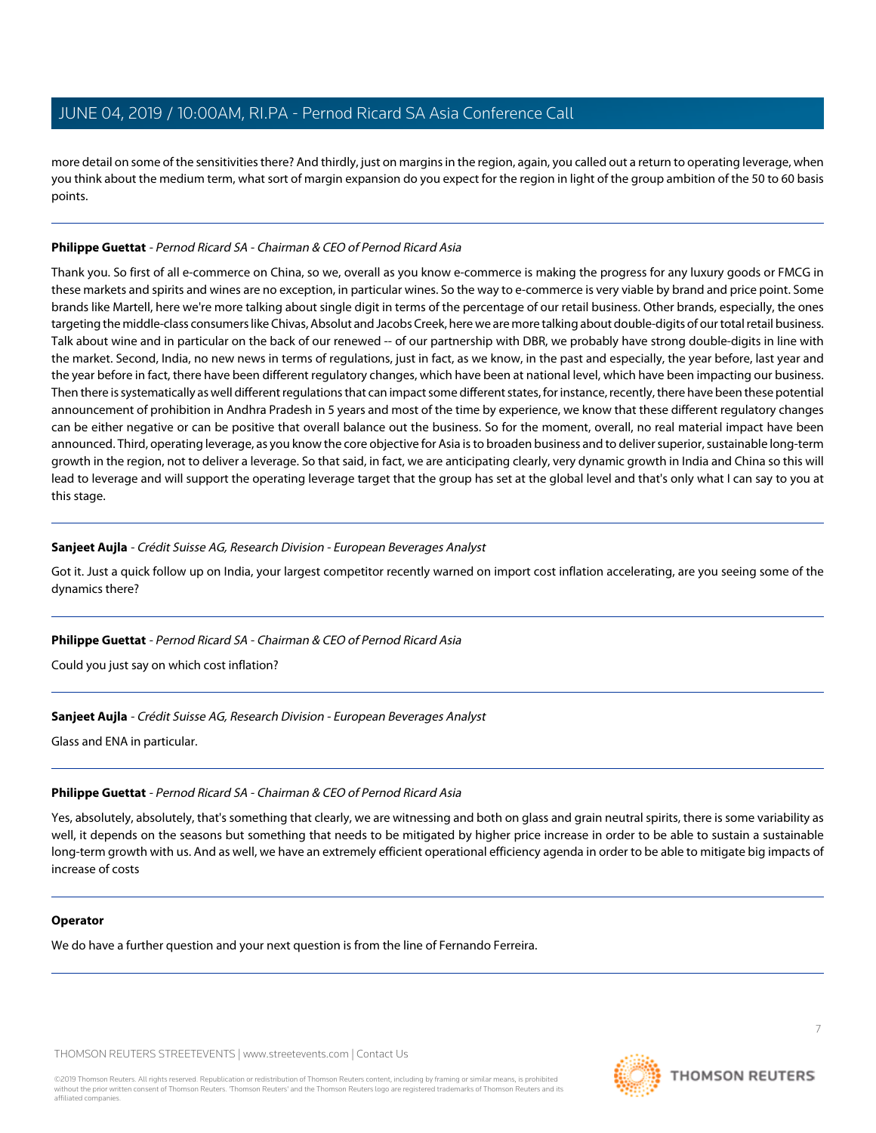more detail on some of the sensitivities there? And thirdly, just on margins in the region, again, you called out a return to operating leverage, when you think about the medium term, what sort of margin expansion do you expect for the region in light of the group ambition of the 50 to 60 basis points.

## **Philippe Guettat** - Pernod Ricard SA - Chairman & CEO of Pernod Ricard Asia

Thank you. So first of all e-commerce on China, so we, overall as you know e-commerce is making the progress for any luxury goods or FMCG in these markets and spirits and wines are no exception, in particular wines. So the way to e-commerce is very viable by brand and price point. Some brands like Martell, here we're more talking about single digit in terms of the percentage of our retail business. Other brands, especially, the ones targeting the middle-class consumers like Chivas, Absolut and Jacobs Creek, here we are more talking about double-digits of our total retail business. Talk about wine and in particular on the back of our renewed -- of our partnership with DBR, we probably have strong double-digits in line with the market. Second, India, no new news in terms of regulations, just in fact, as we know, in the past and especially, the year before, last year and the year before in fact, there have been different regulatory changes, which have been at national level, which have been impacting our business. Then there is systematically as well different regulations that can impact some different states, for instance, recently, there have been these potential announcement of prohibition in Andhra Pradesh in 5 years and most of the time by experience, we know that these different regulatory changes can be either negative or can be positive that overall balance out the business. So for the moment, overall, no real material impact have been announced. Third, operating leverage, as you know the core objective for Asia is to broaden business and to deliver superior, sustainable long-term growth in the region, not to deliver a leverage. So that said, in fact, we are anticipating clearly, very dynamic growth in India and China so this will lead to leverage and will support the operating leverage target that the group has set at the global level and that's only what I can say to you at this stage.

## **Sanjeet Aujla** - Crédit Suisse AG, Research Division - European Beverages Analyst

Got it. Just a quick follow up on India, your largest competitor recently warned on import cost inflation accelerating, are you seeing some of the dynamics there?

## **Philippe Guettat** - Pernod Ricard SA - Chairman & CEO of Pernod Ricard Asia

Could you just say on which cost inflation?

## **Sanjeet Aujla** - Crédit Suisse AG, Research Division - European Beverages Analyst

Glass and ENA in particular.

## **Philippe Guettat** - Pernod Ricard SA - Chairman & CEO of Pernod Ricard Asia

Yes, absolutely, absolutely, that's something that clearly, we are witnessing and both on glass and grain neutral spirits, there is some variability as well, it depends on the seasons but something that needs to be mitigated by higher price increase in order to be able to sustain a sustainable long-term growth with us. And as well, we have an extremely efficient operational efficiency agenda in order to be able to mitigate big impacts of increase of costs

## **Operator**

We do have a further question and your next question is from the line of Fernando Ferreira.

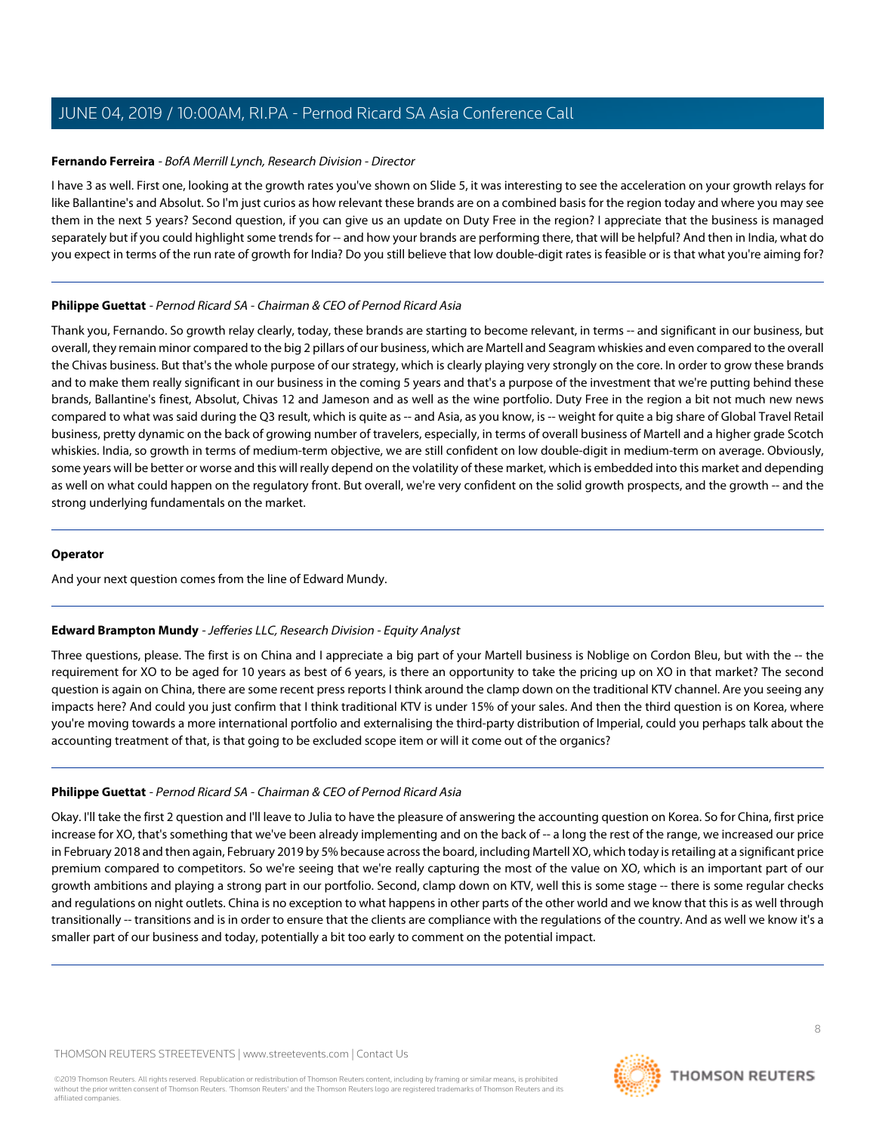#### <span id="page-7-1"></span>**Fernando Ferreira** - BofA Merrill Lynch, Research Division - Director

I have 3 as well. First one, looking at the growth rates you've shown on Slide 5, it was interesting to see the acceleration on your growth relays for like Ballantine's and Absolut. So I'm just curios as how relevant these brands are on a combined basis for the region today and where you may see them in the next 5 years? Second question, if you can give us an update on Duty Free in the region? I appreciate that the business is managed separately but if you could highlight some trends for -- and how your brands are performing there, that will be helpful? And then in India, what do you expect in terms of the run rate of growth for India? Do you still believe that low double-digit rates is feasible or is that what you're aiming for?

#### **Philippe Guettat** - Pernod Ricard SA - Chairman & CEO of Pernod Ricard Asia

Thank you, Fernando. So growth relay clearly, today, these brands are starting to become relevant, in terms -- and significant in our business, but overall, they remain minor compared to the big 2 pillars of our business, which are Martell and Seagram whiskies and even compared to the overall the Chivas business. But that's the whole purpose of our strategy, which is clearly playing very strongly on the core. In order to grow these brands and to make them really significant in our business in the coming 5 years and that's a purpose of the investment that we're putting behind these brands, Ballantine's finest, Absolut, Chivas 12 and Jameson and as well as the wine portfolio. Duty Free in the region a bit not much new news compared to what was said during the Q3 result, which is quite as -- and Asia, as you know, is -- weight for quite a big share of Global Travel Retail business, pretty dynamic on the back of growing number of travelers, especially, in terms of overall business of Martell and a higher grade Scotch whiskies. India, so growth in terms of medium-term objective, we are still confident on low double-digit in medium-term on average. Obviously, some years will be better or worse and this will really depend on the volatility of these market, which is embedded into this market and depending as well on what could happen on the regulatory front. But overall, we're very confident on the solid growth prospects, and the growth -- and the strong underlying fundamentals on the market.

## **Operator**

<span id="page-7-0"></span>And your next question comes from the line of Edward Mundy.

## **Edward Brampton Mundy** - Jefferies LLC, Research Division - Equity Analyst

Three questions, please. The first is on China and I appreciate a big part of your Martell business is Noblige on Cordon Bleu, but with the -- the requirement for XO to be aged for 10 years as best of 6 years, is there an opportunity to take the pricing up on XO in that market? The second question is again on China, there are some recent press reports I think around the clamp down on the traditional KTV channel. Are you seeing any impacts here? And could you just confirm that I think traditional KTV is under 15% of your sales. And then the third question is on Korea, where you're moving towards a more international portfolio and externalising the third-party distribution of Imperial, could you perhaps talk about the accounting treatment of that, is that going to be excluded scope item or will it come out of the organics?

## **Philippe Guettat** - Pernod Ricard SA - Chairman & CEO of Pernod Ricard Asia

Okay. I'll take the first 2 question and I'll leave to Julia to have the pleasure of answering the accounting question on Korea. So for China, first price increase for XO, that's something that we've been already implementing and on the back of -- a long the rest of the range, we increased our price in February 2018 and then again, February 2019 by 5% because across the board, including Martell XO, which today is retailing at a significant price premium compared to competitors. So we're seeing that we're really capturing the most of the value on XO, which is an important part of our growth ambitions and playing a strong part in our portfolio. Second, clamp down on KTV, well this is some stage -- there is some regular checks and regulations on night outlets. China is no exception to what happens in other parts of the other world and we know that this is as well through transitionally -- transitions and is in order to ensure that the clients are compliance with the regulations of the country. And as well we know it's a smaller part of our business and today, potentially a bit too early to comment on the potential impact.

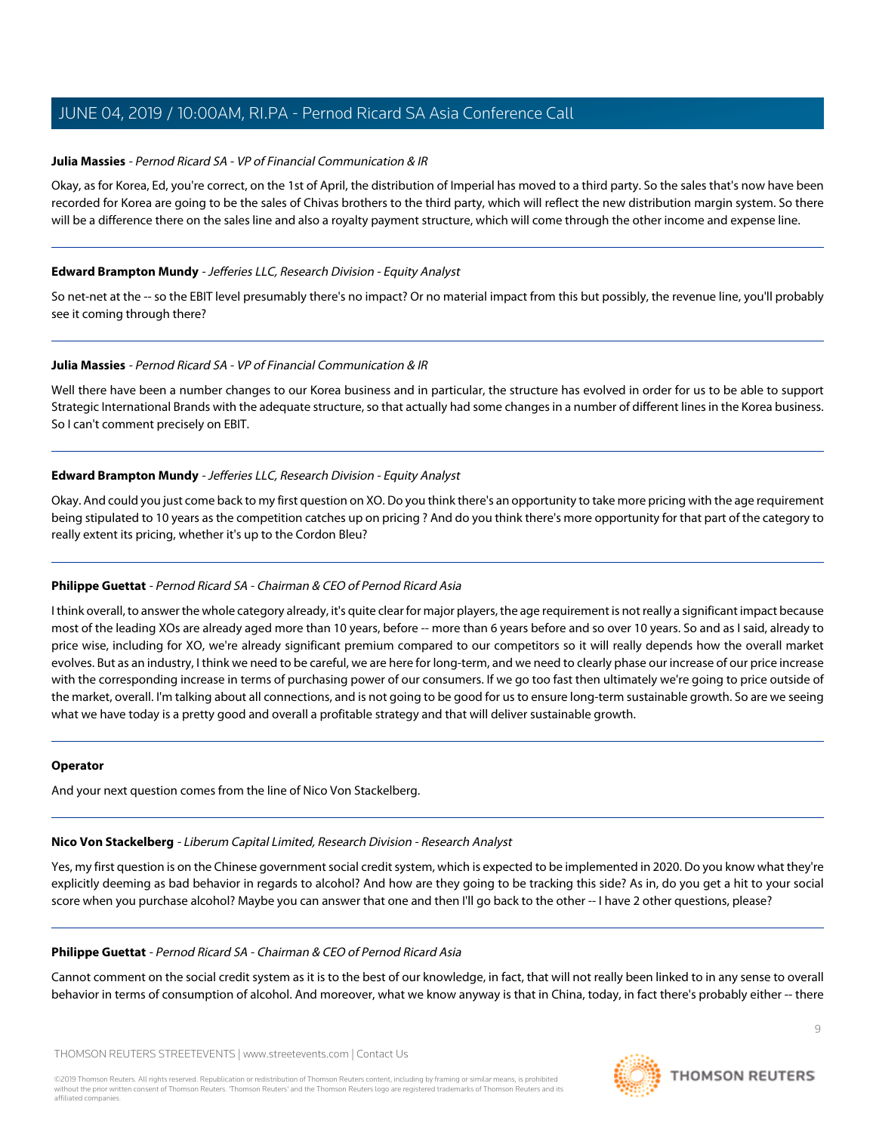#### <span id="page-8-0"></span>**Julia Massies** - Pernod Ricard SA - VP of Financial Communication & IR

Okay, as for Korea, Ed, you're correct, on the 1st of April, the distribution of Imperial has moved to a third party. So the sales that's now have been recorded for Korea are going to be the sales of Chivas brothers to the third party, which will reflect the new distribution margin system. So there will be a difference there on the sales line and also a royalty payment structure, which will come through the other income and expense line.

#### **Edward Brampton Mundy** - Jefferies LLC, Research Division - Equity Analyst

So net-net at the -- so the EBIT level presumably there's no impact? Or no material impact from this but possibly, the revenue line, you'll probably see it coming through there?

#### **Julia Massies** - Pernod Ricard SA - VP of Financial Communication & IR

Well there have been a number changes to our Korea business and in particular, the structure has evolved in order for us to be able to support Strategic International Brands with the adequate structure, so that actually had some changes in a number of different lines in the Korea business. So I can't comment precisely on EBIT.

#### **Edward Brampton Mundy** - Jefferies LLC, Research Division - Equity Analyst

Okay. And could you just come back to my first question on XO. Do you think there's an opportunity to take more pricing with the age requirement being stipulated to 10 years as the competition catches up on pricing ? And do you think there's more opportunity for that part of the category to really extent its pricing, whether it's up to the Cordon Bleu?

## **Philippe Guettat** - Pernod Ricard SA - Chairman & CEO of Pernod Ricard Asia

I think overall, to answer the whole category already, it's quite clear for major players, the age requirement is not really a significant impact because most of the leading XOs are already aged more than 10 years, before -- more than 6 years before and so over 10 years. So and as I said, already to price wise, including for XO, we're already significant premium compared to our competitors so it will really depends how the overall market evolves. But as an industry, I think we need to be careful, we are here for long-term, and we need to clearly phase our increase of our price increase with the corresponding increase in terms of purchasing power of our consumers. If we go too fast then ultimately we're going to price outside of the market, overall. I'm talking about all connections, and is not going to be good for us to ensure long-term sustainable growth. So are we seeing what we have today is a pretty good and overall a profitable strategy and that will deliver sustainable growth.

#### <span id="page-8-1"></span>**Operator**

And your next question comes from the line of Nico Von Stackelberg.

## **Nico Von Stackelberg** - Liberum Capital Limited, Research Division - Research Analyst

Yes, my first question is on the Chinese government social credit system, which is expected to be implemented in 2020. Do you know what they're explicitly deeming as bad behavior in regards to alcohol? And how are they going to be tracking this side? As in, do you get a hit to your social score when you purchase alcohol? Maybe you can answer that one and then I'll go back to the other -- I have 2 other questions, please?

#### **Philippe Guettat** - Pernod Ricard SA - Chairman & CEO of Pernod Ricard Asia

Cannot comment on the social credit system as it is to the best of our knowledge, in fact, that will not really been linked to in any sense to overall behavior in terms of consumption of alcohol. And moreover, what we know anyway is that in China, today, in fact there's probably either -- there

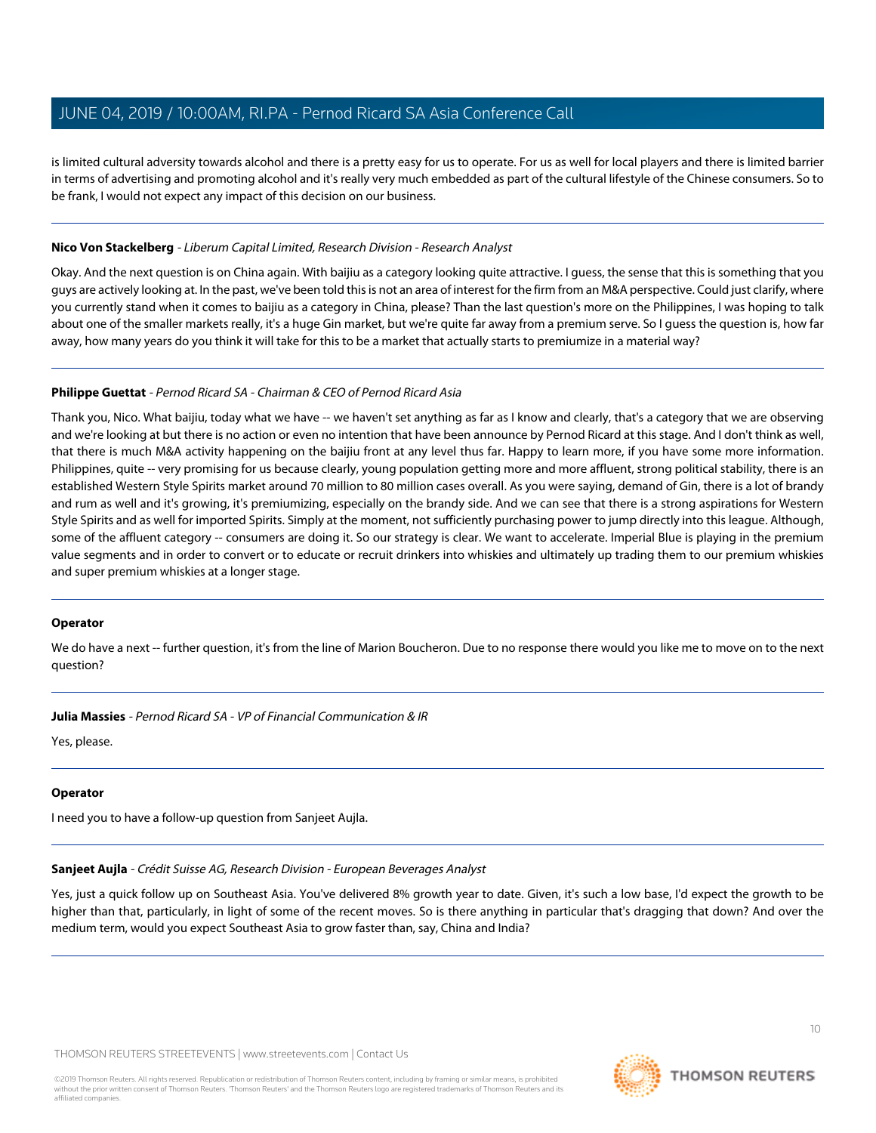is limited cultural adversity towards alcohol and there is a pretty easy for us to operate. For us as well for local players and there is limited barrier in terms of advertising and promoting alcohol and it's really very much embedded as part of the cultural lifestyle of the Chinese consumers. So to be frank, I would not expect any impact of this decision on our business.

#### **Nico Von Stackelberg** - Liberum Capital Limited, Research Division - Research Analyst

Okay. And the next question is on China again. With baijiu as a category looking quite attractive. I guess, the sense that this is something that you guys are actively looking at. In the past, we've been told this is not an area of interest for the firm from an M&A perspective. Could just clarify, where you currently stand when it comes to baijiu as a category in China, please? Than the last question's more on the Philippines, I was hoping to talk about one of the smaller markets really, it's a huge Gin market, but we're quite far away from a premium serve. So I guess the question is, how far away, how many years do you think it will take for this to be a market that actually starts to premiumize in a material way?

#### **Philippe Guettat** - Pernod Ricard SA - Chairman & CEO of Pernod Ricard Asia

Thank you, Nico. What baijiu, today what we have -- we haven't set anything as far as I know and clearly, that's a category that we are observing and we're looking at but there is no action or even no intention that have been announce by Pernod Ricard at this stage. And I don't think as well, that there is much M&A activity happening on the baijiu front at any level thus far. Happy to learn more, if you have some more information. Philippines, quite -- very promising for us because clearly, young population getting more and more affluent, strong political stability, there is an established Western Style Spirits market around 70 million to 80 million cases overall. As you were saying, demand of Gin, there is a lot of brandy and rum as well and it's growing, it's premiumizing, especially on the brandy side. And we can see that there is a strong aspirations for Western Style Spirits and as well for imported Spirits. Simply at the moment, not sufficiently purchasing power to jump directly into this league. Although, some of the affluent category -- consumers are doing it. So our strategy is clear. We want to accelerate. Imperial Blue is playing in the premium value segments and in order to convert or to educate or recruit drinkers into whiskies and ultimately up trading them to our premium whiskies and super premium whiskies at a longer stage.

## **Operator**

We do have a next -- further question, it's from the line of Marion Boucheron. Due to no response there would you like me to move on to the next question?

**Julia Massies** - Pernod Ricard SA - VP of Financial Communication & IR

Yes, please.

## **Operator**

I need you to have a follow-up question from Sanjeet Aujla.

**Sanjeet Aujla** - Crédit Suisse AG, Research Division - European Beverages Analyst

Yes, just a quick follow up on Southeast Asia. You've delivered 8% growth year to date. Given, it's such a low base, I'd expect the growth to be higher than that, particularly, in light of some of the recent moves. So is there anything in particular that's dragging that down? And over the medium term, would you expect Southeast Asia to grow faster than, say, China and India?